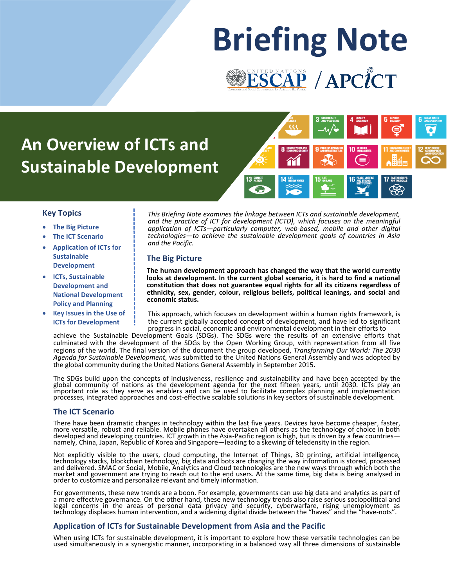# **Briefing Note**ESCAP / APCICT

# **An Overview of ICTs and Sustainable Development**



#### **Key Topics**

- **The Big Picture**
- **The ICT Scenario**
- **Application of ICTs for Sustainable Development**
- **ICTs, Sustainable Development and National Development Policy and Planning**
- **Key Issues in the Use of ICTs for Development**

*This Briefing Note examines the linkage between ICTs and sustainable development, and the practice of ICT for development (ICTD), which focuses on the meaningful application of ICTs—particularly computer, web-based, mobile and other digital technologies—to achieve the sustainable development goals of countries in Asia and the Pacific.* 

#### **The Big Picture**

**The human development approach has changed the way that the world currently looks at development. In the current global scenario, it is hard to find a national constitution that does not guarantee equal rights for all its citizens regardless of ethnicity, sex, gender, colour, religious beliefs, political leanings, and social and economic status.**

This approach, which focuses on development within a human rights framework, is the current globally accepted concept of development, and have led to significant progress in social, economic and environmental development in their efforts to

achieve the Sustainable Development Goals (SDGs). The SDGs were the results of an extensive efforts that culminated with the development of the SDGs by the Open Working Group, with representation from all five regions of the world. The final version of the document the group developed, *Transforming Our World: The 2030 Agenda for Sustainable Development,* was submitted to the United Nations General Assembly and was adopted by the global community during the United Nations General Assembly in September 2015.

The SDGs build upon the concepts of inclusiveness, resilience and sustainability and have been accepted by the global community of nations as the development agenda for the next fifteen years, until 2030. ICTs play an important role as they serve as enablers and can be used to facilitate complex planning and implementation processes, integrated approaches and cost-effective scalable solutions in key sectors of sustainable development.

#### **The ICT Scenario**

There have been dramatic changes in technology within the last five years. Devices have become cheaper, faster, more versatile, robust and reliable. Mobile phones have overtaken all others as the technology of choice in both developed and developing countries. ICT growth in the Asia-Pacific region is high, but is driven by a few countries namely, China, Japan, Republic of Korea and Singapore—leading to a skewing of teledensity in the region.

Not explicitly visible to the users, cloud computing, the Internet of Things, 3D printing, artificial intelligence, technology stacks, blockchain technology, big data and bots are changing the way information is stored, processed and delivered. SMAC or Social, Mobile, Analytics and Cloud technologies are the new ways through which both the market and government are trying to reach out to the end users. At the same time, big data is being analysed in order to customize and personalize relevant and timely information.

For governments, these new trends are a boon. For example, governments can use big data and analytics as part of a more effective governance. On the other hand, these new technology trends also raise serious sociopolitical and legal concerns in the areas of personal data privacy and security, cyberwarfare, rising unemployment as technology displaces human intervention, and a widening digital divide between the "haves" and the "have-nots".

#### **Application of ICTs for Sustainable Development from Asia and the Pacific**

When using ICTs for sustainable development, it is important to explore how these versatile technologies can be used simultaneously in a synergistic manner, incorporating in a balanced way all three dimensions of sustainable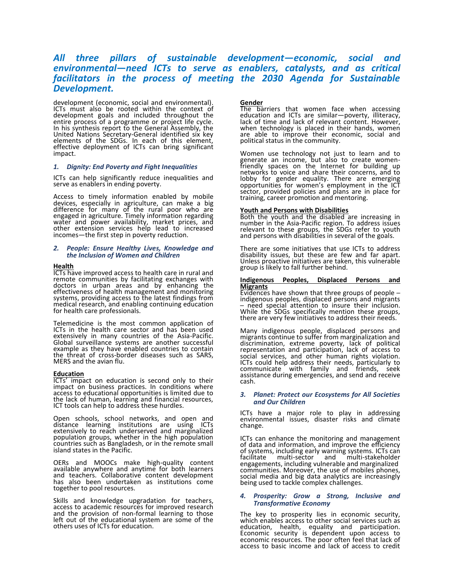### *All three pillars of sustainable development—economic, social and environmental—need ICTs to serve as enablers, catalysts, and as critical facilitators in the process of meeting the 2030 Agenda for Sustainable Development.*

development (economic, social and environmental). ICTs must also be rooted within the context of development goals and included throughout the entire process of a programme or project life cycle. In his synthesis report to the General Assembly, the United Nations Secretary-General identified six key elements of the SDGs. In each of this element, effective deployment of ICTs can bring significant impact.

#### *1. Dignity: End Poverty and Fight Inequalities*

ICTs can help significantly reduce inequalities and serve as enablers in ending poverty.

Access to timely information enabled by mobile devices, especially in agriculture, can make a big difference for many of the rural poor who are engaged in agriculture. Timely information regarding water and power availability, market prices, and other extension services help lead to increased incomes—the first step in poverty reduction.

#### *2. People: Ensure Healthy Lives, Knowledge and the Inclusion of Women and Children*

#### **Health**

ICTs have improved access to health care in rural and remote communities by facilitating exchanges with doctors in urban areas and by enhancing the effectiveness of health management and monitoring systems, providing access to the latest findings from medical research, and enabling continuing education for health care professionals.

Telemedicine is the most common application of ICTs in the health care sector and has been used extensively in many countries of the Asia-Pacific. Global surveillance systems are another successful example as they have enabled countries to contain the threat of cross-border diseases such as SARS, MERS and the avian flu.

#### **Education**

ICTs' impact on education is second only to their impact on business practices. In conditions where access to educational opportunities is limited due to the lack of human, learning and financial resources, ICT tools can help to address these hurdles.

Open schools, school networks, and open and distance learning institutions are using ICTs extensively to reach underserved and marginalized population groups, whether in the high population countries such as Bangladesh, or in the remote small island states in the Pacific.

OERs and MOOCs make high-quality content available anywhere and anytime for both learners and teachers. Collaborative content development has also been undertaken as institutions come together to pool resources.

Skills and knowledge upgradation for teachers, access to academic resources for improved research and the provision of non-formal learning to those left out of the educational system are some of the others uses of ICTs for education.

#### **Gender**

The barriers that women face when accessing education and ICTs are similar—poverty, illiteracy, lack of time and lack of relevant content. However, when technology is placed in their hands, women are able to improve their economic, social and political status in the community.

Women use technology not just to learn and to generate an income, but also to create womenfriendly spaces on the Internet for building up networks to voice and share their concerns, and to lobby for gender equality. There are emerging opportunities for women's employment in the ICT sector, provided policies and plans are in place for training, career promotion and mentoring.

#### **Youth and Persons with Disabilities**

Both the youth and the disabled are increasing in number in the Asia-Pacific region. To address issues relevant to these groups, the SDGs refer to youth and persons with disabilities in several of the goals.

There are some initiatives that use ICTs to address disability issues, but these are few and far apart. Unless proactive initiatives are taken, this vulnerable group is likely to fall further behind.

#### **Indigenous Peoples, Displaced Persons and Migrants**

Evidences have shown that three groups of people ─ indigenous peoples, displaced persons and migrants ─ need special attention to insure their inclusion. While the SDGs specifically mention these groups, there are very few initiatives to address their needs.

Many indigenous people, displaced persons and migrants continue to suffer from marginalization and discrimination, extreme poverty, lack of political representation and participation, lack of access to social services, and other human rights violation. ICTs could help address their needs, particularly to communicate with family and friends, seek assistance during emergencies, and send and receive cash.

#### *3. Planet: Protect our Ecosystems for All Societies and Our Children*

ICTs have a major role to play in addressing environmental issues, disaster risks and climate change.

ICTs can enhance the monitoring and management of data and information, and improve the efficiency of systems, including early warning systems. ICTs can facilitate multi-sector and multi-stakeholder engagements, including vulnerable and marginalized communities. Moreover, the use of mobiles phones, social media and big data analytics are increasingly being used to tackle complex challenges.

#### *4. Prosperity: Grow a Strong, Inclusive and Transformative Economy*

The key to prosperity lies in economic security, which enables access to other social services such as education, health, equality and participation. Economic security is dependent upon access to economic resources. The poor often feel that lack of access to basic income and lack of access to credit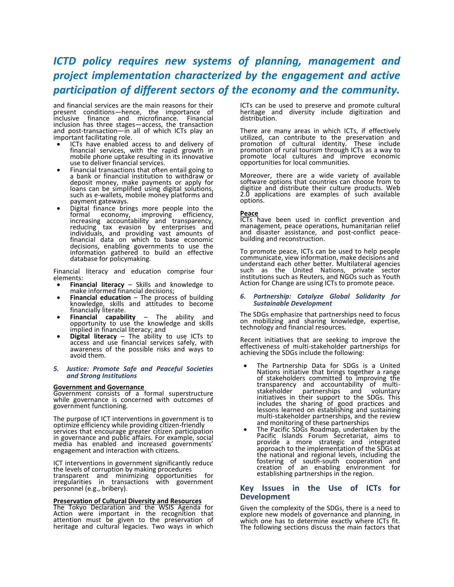## *ICTD policy requires new systems of planning, management and project implementation characterized by the engagement and active participation of different sectors of the economy and the community.*

and financial services are the main reasons for their present conditions—hence, the importance of inclusive finance and microfinance. Financial inclusion has three stages—access, the transaction and post-transaction—in all of which ICTs play an important facilitating role.

- ICTs have enabled access to and delivery of financial services, with the rapid growth in mobile phone uptake resulting in its innovative use to deliver financial services.
- Financial transactions that often entail going to a bank or financial institution to withdraw or deposit money, make payments or apply for loans can be simplified using digital solutions, such as e-wallets, mobile money platforms and payment gateways.
- Digital finance brings more people into the formal economy, improving efficiency, increasing accountability and transparency, reducing tax evasion by enterprises and individuals, and providing vast amounts of financial data on which to base economic decisions, enabling governments to use the information gathered to build an effective database for policymaking.

Financial literacy and education comprise four elements:

- **Financial literacy** Skills and knowledge to make informed financial decisions;
- **Financial education** The process of building knowledge, skills and attitudes to become financially literate.
- **Financial capability** The ability and opportunity to use the knowledge and skills implied in financial literacy; and
- **Digital literacy** The ability to use ICTs to access and use financial services safely, with awareness of the possible risks and ways to avoid them.

#### *5. Justice: Promote Safe and Peaceful Societies and Strong Institutions*

#### **Government and Governance**

personnel (e.g., bribery).

Government consists of a formal superstructure while governance is concerned with outcomes of government functioning.

The purpose of ICT interventions in government is to optimize efficiency while providing citizen-friendly services that encourage greater citizen participation in governance and public affairs. For example, social media has enabled and increased governments' engagement and interaction with citizens.

ICT interventions in government significantly reduce the levels of corruption by making procedures transparent and minimizing opportunities for irregularities in transactions with government

#### **Preservation of Cultural Diversity and Resources**

The Tokyo Declaration and the WSIS Agenda for Action were important in the recognition that attention must be given to the preservation of heritage and cultural legacies. Two ways in which ICTs can be used to preserve and promote cultural heritage and diversity include digitization and distribution.

There are many areas in which ICTs, if effectively utilized, can contribute to the preservation and promotion of cultural identity. These include promotion of rural tourism through ICTs as a way to promote local cultures and improve economic opportunities for local communities.

Moreover, there are a wide variety of available software options that countries can choose from to digitize and distribute their culture products. Web 2.0 applications are examples of such available options.

#### **Peace**

ICTs have been used in conflict prevention and management, peace operations, humanitarian relief and disaster assistance, and post-conflict peacebuilding and reconstruction.

To promote peace, ICTs can be used to help people communicate, view information, make decisions and understand each other better. Multilateral agencies such as the United Nations, private sector institutions such as Reuters, and NGOs such as Youth Action for Change are using ICTs to promote peace.

#### *6. Partnership: Catalyze Global Solidarity for Sustainable Development*

The SDGs emphasize that partnerships need to focus on mobilizing and sharing knowledge, expertise, technology and financial resources.

Recent initiatives that are seeking to improve the effectiveness of multi-stakeholder partnerships for achieving the SDGs include the following:

- The Partnership Data for SDGs is a United Nations initiative that brings together a range of stakeholders committed to improving the transparency and accountability of multistakeholder partnerships and voluntary initiatives in their support to the SDGs. This includes the sharing of good practices and lessons learned on establishing and sustaining multi-stakeholder partnerships, and the review and monitoring of these partnerships
- The Pacific SDGs Roadmap, undertaken by the Pacific Islands Forum Secretariat, aims to provide a more strategic and integrated approach to the implementation of the SDGs at the national and regional levels, including the fostering of south-south cooperation and creation of an enabling environment for establishing partnerships in the region.

#### **Key Issues in the Use of ICTs for Development**

Given the complexity of the SDGs, there is a need to explore new models of governance and planning, in which one has to determine exactly where ICTs fit. The following sections discuss the main factors that